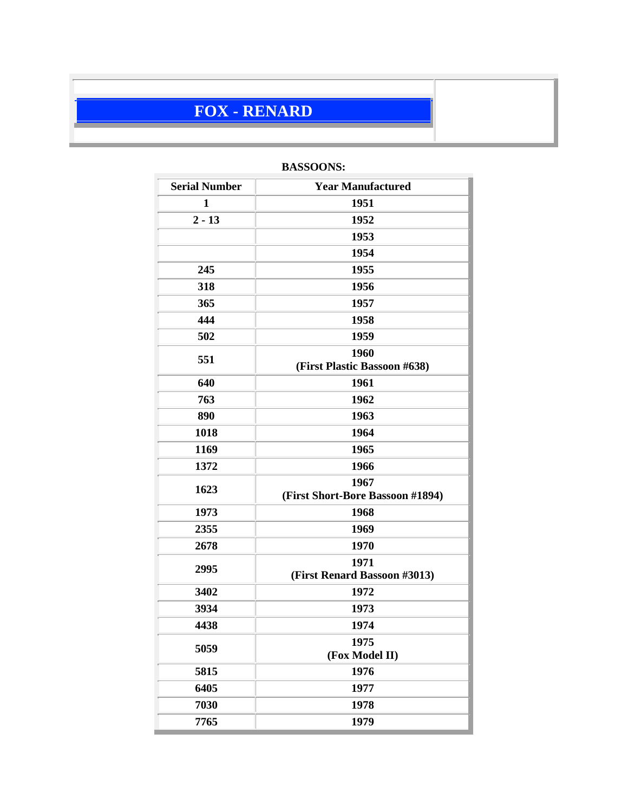# **FOX - RENARD**

| <b>Serial Number</b> | <b>Year Manufactured</b>                 |  |
|----------------------|------------------------------------------|--|
| $\mathbf{1}$         | 1951                                     |  |
| $2 - 13$             | 1952                                     |  |
|                      | 1953                                     |  |
|                      | 1954                                     |  |
| 245                  | 1955                                     |  |
| 318                  | 1956                                     |  |
| 365                  | 1957                                     |  |
| 444                  | 1958                                     |  |
| 502                  | 1959                                     |  |
| 551                  | 1960                                     |  |
|                      | (First Plastic Bassoon #638)             |  |
| 640                  | 1961                                     |  |
| 763                  | 1962                                     |  |
| 890                  | 1963                                     |  |
| 1018                 | 1964                                     |  |
| 1169                 | 1965                                     |  |
| 1372                 | 1966                                     |  |
| 1623                 | 1967<br>(First Short-Bore Bassoon #1894) |  |
| 1973                 | 1968                                     |  |
| 2355                 | 1969                                     |  |
| 2678                 | 1970                                     |  |
| 2995                 | 1971                                     |  |
|                      | (First Renard Bassoon #3013)             |  |
| 3402                 | 1972                                     |  |
| 3934                 | 1973                                     |  |
| 4438                 | 1974                                     |  |
| 5059                 | 1975                                     |  |
|                      | (Fox Model II)                           |  |
| 5815                 | 1976                                     |  |
| 6405                 | 1977                                     |  |
| 7030                 | 1978                                     |  |
| 7765                 | 1979                                     |  |

## **BASSOONS:**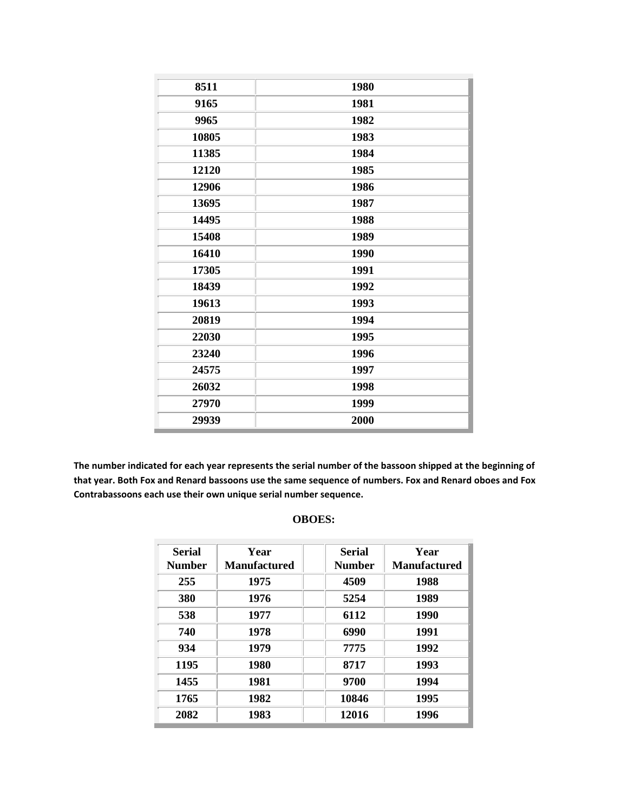| 8511  | 1980 |
|-------|------|
| 9165  | 1981 |
| 9965  | 1982 |
| 10805 | 1983 |
| 11385 | 1984 |
| 12120 | 1985 |
| 12906 | 1986 |
| 13695 | 1987 |
| 14495 | 1988 |
| 15408 | 1989 |
| 16410 | 1990 |
| 17305 | 1991 |
| 18439 | 1992 |
| 19613 | 1993 |
| 20819 | 1994 |
| 22030 | 1995 |
| 23240 | 1996 |
| 24575 | 1997 |
| 26032 | 1998 |
| 27970 | 1999 |
| 29939 | 2000 |

**The number indicated for each year represents the serial number of the bassoon shipped at the beginning of that year. Both Fox and Renard bassoons use the same sequence of numbers. Fox and Renard oboes and Fox Contrabassoons each use their own unique serial number sequence.**

### **OBOES:**

| <b>Serial</b><br><b>Number</b> | Year<br><b>Manufactured</b> | <b>Serial</b><br><b>Number</b> | Year<br><b>Manufactured</b> |
|--------------------------------|-----------------------------|--------------------------------|-----------------------------|
| 255                            | 1975                        | 4509                           | 1988                        |
| 380                            | 1976                        | 5254                           | 1989                        |
| 538                            | 1977                        | 6112                           | 1990                        |
| 740                            | 1978                        | 6990                           | 1991                        |
| 934                            | 1979                        | 7775                           | 1992                        |
| 1195                           | 1980                        | 8717                           | 1993                        |
| 1455                           | 1981                        | 9700                           | 1994                        |
| 1765                           | 1982                        | 10846                          | 1995                        |
| 2082                           | 1983                        | 12016                          | 1996                        |